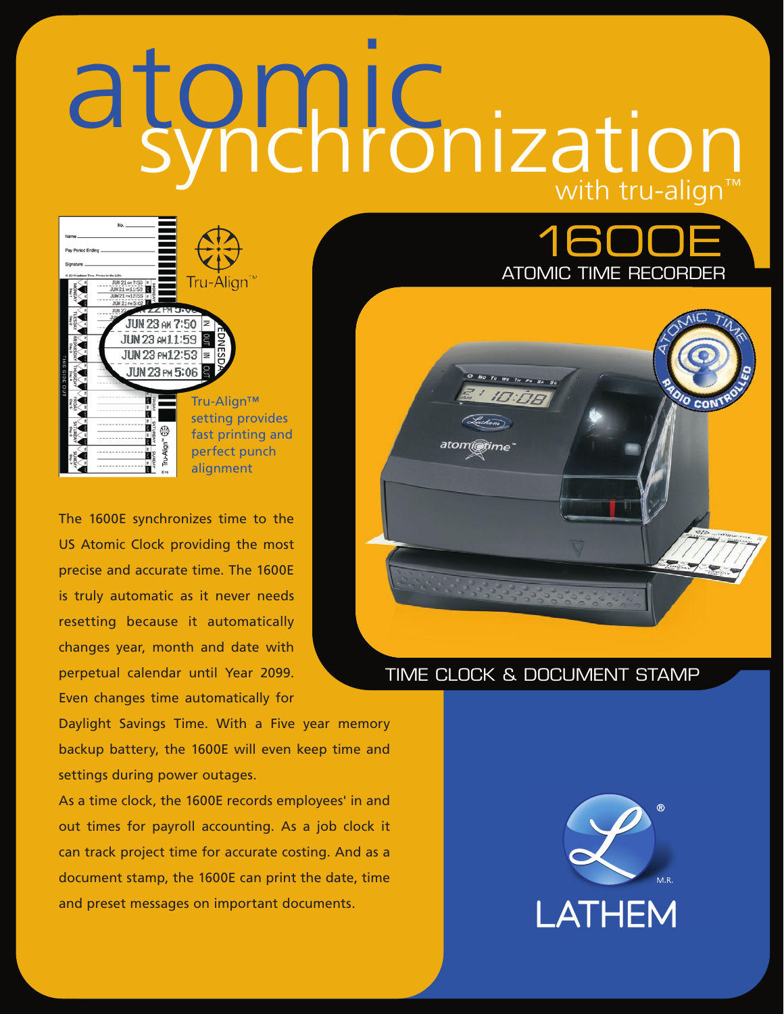# atomic with tru-align™ synchronization



The 1600E synchronizes time to the US Atomic Clock providing the most precise and accurate time. The 1600E is truly automatic as it never needs resetting because it automatically changes year, month and date with perpetual calendar until Year 2099. Even changes time automatically for

Daylight Savings Time. With a Five year memory backup battery, the 1600E will even keep time and settings during power outages.

As a time clock, the 1600E records employees' in and out times for payroll accounting. As a job clock it can track project time for accurate costing. And as a document stamp, the 1600E can print the date, time and preset messages on important documents.



# TIME CLOCK & DOCUMENT STAMP